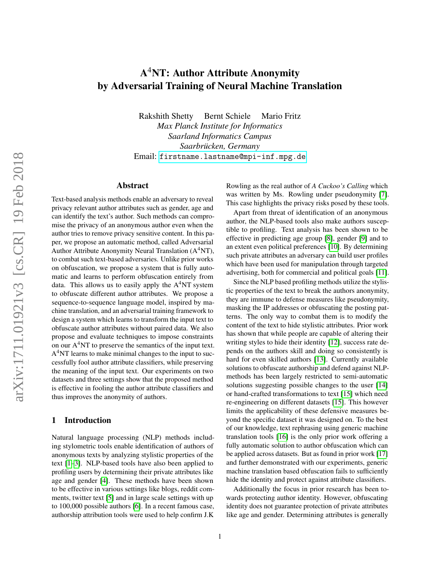# A <sup>4</sup>NT: Author Attribute Anonymity by Adversarial Training of Neural Machine Translation

Rakshith Shetty Bernt Schiele Mario Fritz *Max Planck Institute for Informatics Saarland Informatics Campus Saarbrucken, Germany ¨* Email: <firstname.lastname@mpi-inf.mpg.de>

# Abstract

Text-based analysis methods enable an adversary to reveal privacy relevant author attributes such as gender, age and can identify the text's author. Such methods can compromise the privacy of an anonymous author even when the author tries to remove privacy sensitive content. In this paper, we propose an automatic method, called Adversarial Author Attribute Anonymity Neural Translation (A <sup>4</sup>NT), to combat such text-based adversaries. Unlike prior works on obfuscation, we propose a system that is fully automatic and learns to perform obfuscation entirely from data. This allows us to easily apply the  $A<sup>4</sup>NT$  system to obfuscate different author attributes. We propose a sequence-to-sequence language model, inspired by machine translation, and an adversarial training framework to design a system which learns to transform the input text to obfuscate author attributes without paired data. We also propose and evaluate techniques to impose constraints on our  $A<sup>4</sup>NT$  to preserve the semantics of the input text.  $A<sup>4</sup>NT$  learns to make minimal changes to the input to successfully fool author attribute classifiers, while preserving the meaning of the input text. Our experiments on two datasets and three settings show that the proposed method is effective in fooling the author attribute classifiers and thus improves the anonymity of authors.

#### 1 Introduction

Natural language processing (NLP) methods including stylometric tools enable identification of authors of anonymous texts by analyzing stylistic properties of the text [\[1–](#page-13-0)[3\]](#page-13-1). NLP-based tools have also been applied to profiling users by determining their private attributes like age and gender [\[4\]](#page-13-2). These methods have been shown to be effective in various settings like blogs, reddit comments, twitter text [\[5\]](#page-13-3) and in large scale settings with up to 100,000 possible authors [\[6\]](#page-13-4). In a recent famous case, authorship attribution tools were used to help confirm J.K Rowling as the real author of *A Cuckoo's Calling* which was written by Ms. Rowling under pseudonymity [\[7\]](#page-13-5). This case highlights the privacy risks posed by these tools.

Apart from threat of identification of an anonymous author, the NLP-based tools also make authors susceptible to profiling. Text analysis has been shown to be effective in predicting age group [\[8\]](#page-13-6), gender [\[9\]](#page-13-7) and to an extent even political preferences [\[10\]](#page-13-8). By determining such private attributes an adversary can build user profiles which have been used for manipulation through targeted advertising, both for commercial and political goals [\[11\]](#page-13-9).

Since the NLP based profiling methods utilize the stylistic properties of the text to break the authors anonymity, they are immune to defense measures like pseudonymity, masking the IP addresses or obfuscating the posting patterns. The only way to combat them is to modify the content of the text to hide stylistic attributes. Prior work has shown that while people are capable of altering their writing styles to hide their identity [\[12\]](#page-13-10), success rate depends on the authors skill and doing so consistently is hard for even skilled authors [\[13\]](#page-13-11). Currently available solutions to obfuscate authorship and defend against NLPmethods has been largely restricted to semi-automatic solutions suggesting possible changes to the user [\[14\]](#page-13-12) or hand-crafted transformations to text [\[15\]](#page-13-13) which need re-engineering on different datasets [\[15\]](#page-13-13). This however limits the applicability of these defensive measures beyond the specific dataset it was designed on. To the best of our knowledge, text rephrasing using generic machine translation tools [\[16\]](#page-13-14) is the only prior work offering a fully automatic solution to author obfuscation which can be applied across datasets. But as found in prior work [\[17\]](#page-14-0) and further demonstrated with our experiments, generic machine translation based obfuscation fails to sufficiently hide the identity and protect against attribute classifiers.

Additionally the focus in prior research has been towards protecting author identity. However, obfuscating identity does not guarantee protection of private attributes like age and gender. Determining attributes is generally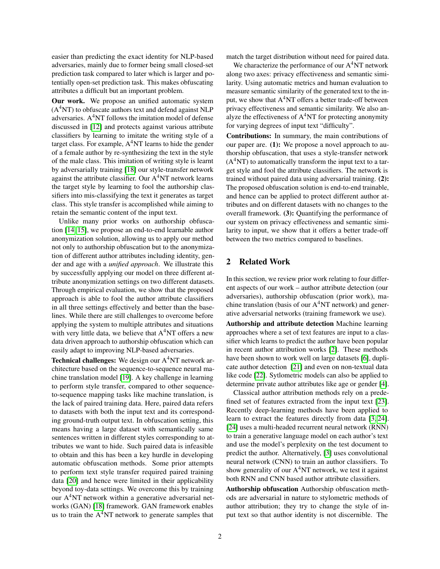easier than predicting the exact identity for NLP-based adversaries, mainly due to former being small closed-set prediction task compared to later which is larger and potentially open-set prediction task. This makes obfuscating attributes a difficult but an important problem.

Our work. We propose an unified automatic system  $(A<sup>4</sup>NT)$  to obfuscate authors text and defend against NLP adversaries. A <sup>4</sup>NT follows the imitation model of defense discussed in [\[12\]](#page-13-10) and protects against various attribute classifiers by learning to imitate the writing style of a target class. For example, A<sup>4</sup>NT learns to hide the gender of a female author by re-synthesizing the text in the style of the male class. This imitation of writing style is learnt by adversarially training [\[18\]](#page-14-1) our style-transfer network against the attribute classifier. Our  $A<sup>4</sup>NT$  network learns the target style by learning to fool the authorship classifiers into mis-classifying the text it generates as target class. This style transfer is accomplished while aiming to retain the semantic content of the input text.

Unlike many prior works on authorship obfuscation [\[14,](#page-13-12) [15\]](#page-13-13), we propose an end-to-end learnable author anonymization solution, allowing us to apply our method not only to authorship obfuscation but to the anonymization of different author attributes including identity, gender and age with a *unified approach*. We illustrate this by successfully applying our model on three different attribute anonymization settings on two different datasets. Through empirical evaluation, we show that the proposed approach is able to fool the author attribute classifiers in all three settings effectively and better than the baselines. While there are still challenges to overcome before applying the system to multiple attributes and situations with very little data, we believe that A<sup>4</sup>NT offers a new data driven approach to authorship obfuscation which can easily adapt to improving NLP-based adversaries.

Technical challenges: We design our A<sup>4</sup>NT network architecture based on the sequence-to-sequence neural machine translation model [\[19\]](#page-14-2). A key challenge in learning to perform style transfer, compared to other sequenceto-sequence mapping tasks like machine translation, is the lack of paired training data. Here, paired data refers to datasets with both the input text and its corresponding ground-truth output text. In obfuscation setting, this means having a large dataset with semantically same sentences written in different styles corresponding to attributes we want to hide. Such paired data is infeasible to obtain and this has been a key hurdle in developing automatic obfuscation methods. Some prior attempts to perform text style transfer required paired training data [\[20\]](#page-14-3) and hence were limited in their applicability beyond toy-data settings. We overcome this by training our A <sup>4</sup>NT network within a generative adversarial networks (GAN) [\[18\]](#page-14-1) framework. GAN framework enables us to train the  $A<sup>4</sup>NT$  network to generate samples that

match the target distribution without need for paired data.

We characterize the performance of our A<sup>4</sup>NT network along two axes: privacy effectiveness and semantic similarity. Using automatic metrics and human evaluation to measure semantic similarity of the generated text to the input, we show that  $A^4NT$  offers a better trade-off between privacy effectiveness and semantic similarity. We also analyze the effectiveness of  $A<sup>4</sup>NT$  for protecting anonymity for varying degrees of input text "difficulty".

Contributions: In summary, the main contributions of our paper are. (1): We propose a novel approach to authorship obfuscation, that uses a style-transfer network  $(A<sup>4</sup>NT)$  to automatically transform the input text to a target style and fool the attribute classifiers. The network is trained without paired data using adversarial training. (2): The proposed obfuscation solution is end-to-end trainable, and hence can be applied to protect different author attributes and on different datasets with no changes to the overall framework. (3): Quantifying the performance of our system on privacy effectiveness and semantic similarity to input, we show that it offers a better trade-off between the two metrics compared to baselines.

## 2 Related Work

In this section, we review prior work relating to four different aspects of our work – author attribute detection (our adversaries), authorship obfuscation (prior work), machine translation (basis of our A <sup>4</sup>NT network) and generative adversarial networks (training framework we use).

Authorship and attribute detection Machine learning approaches where a set of text features are input to a classifier which learns to predict the author have been popular in recent author attribution works [\[2\]](#page-13-15). These methods have been shown to work well on large datasets [\[6\]](#page-13-4), duplicate author detection [\[21\]](#page-14-4) and even on non-textual data like code [\[22\]](#page-14-5). Sytlometric models can also be applied to determine private author attributes like age or gender [\[4\]](#page-13-2).

Classical author attribution methods rely on a predefined set of features extracted from the input text [\[23\]](#page-14-6). Recently deep-learning methods have been applied to learn to extract the features directly from data [\[3,](#page-13-1) [24\]](#page-14-7). [\[24\]](#page-14-7) uses a multi-headed recurrent neural network (RNN) to train a generative language model on each author's text and use the model's perplexity on the test document to predict the author. Alternatively, [\[3\]](#page-13-1) uses convolutional neural network (CNN) to train an author classifiers. To show generality of our A<sup>4</sup>NT network, we test it against both RNN and CNN based author attribute classifiers.

Authorship obfuscation Authorship obfuscation methods are adversarial in nature to stylometric methods of author attribution; they try to change the style of input text so that author identity is not discernible. The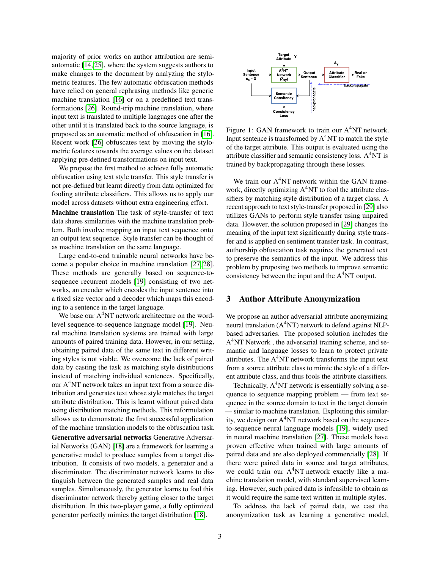majority of prior works on author attribution are semiautomatic [\[14,](#page-13-12) [25\]](#page-14-8), where the system suggests authors to make changes to the document by analyzing the stylometric features. The few automatic obfuscation methods have relied on general rephrasing methods like generic machine translation [\[16\]](#page-13-14) or on a predefined text transformations [\[26\]](#page-14-9). Round-trip machine translation, where input text is translated to multiple languages one after the other until it is translated back to the source language, is proposed as an automatic method of obfuscation in [\[16\]](#page-13-14). Recent work [\[26\]](#page-14-9) obfuscates text by moving the stylometric features towards the average values on the dataset applying pre-defined transformations on input text.

We propose the first method to achieve fully automatic obfuscation using text style transfer. This style transfer is not pre-defined but learnt directly from data optimized for fooling attribute classifiers. This allows us to apply our model across datasets without extra engineering effort.

Machine translation The task of style-transfer of text data shares similarities with the machine translation problem. Both involve mapping an input text sequence onto an output text sequence. Style transfer can be thought of as machine translation on the same language.

Large end-to-end trainable neural networks have become a popular choice in machine translation [\[27,](#page-14-10) [28\]](#page-14-11). These methods are generally based on sequence-tosequence recurrent models [\[19\]](#page-14-2) consisting of two networks, an encoder which encodes the input sentence into a fixed size vector and a decoder which maps this encoding to a sentence in the target language.

We base our A<sup>4</sup>NT network architecture on the wordlevel sequence-to-sequence language model [\[19\]](#page-14-2). Neural machine translation systems are trained with large amounts of paired training data. However, in our setting, obtaining paired data of the same text in different writing styles is not viable. We overcome the lack of paired data by casting the task as matching style distributions instead of matching individual sentences. Specifically, our A <sup>4</sup>NT network takes an input text from a source distribution and generates text whose style matches the target attribute distribution. This is learnt without paired data using distribution matching methods. This reformulation allows us to demonstrate the first successful application of the machine translation models to the obfuscation task.

Generative adversarial networks Generative Adversarial Networks (GAN) [\[18\]](#page-14-1) are a framework for learning a generative model to produce samples from a target distribution. It consists of two models, a generator and a discriminator. The discriminator network learns to distinguish between the generated samples and real data samples. Simultaneously, the generator learns to fool this discriminator network thereby getting closer to the target distribution. In this two-player game, a fully optimized generator perfectly mimics the target distribution [\[18\]](#page-14-1).

<span id="page-2-0"></span>

Figure 1: GAN framework to train our A<sup>4</sup>NT network. Input sentence is transformed by  $A<sup>4</sup>NT$  to match the style of the target attribute. This output is evaluated using the attribute classifier and semantic consistency loss.  $A<sup>4</sup>NT$  is trained by backpropagating through these losses.

We train our A<sup>4</sup>NT network within the GAN framework, directly optimizing A<sup>4</sup>NT to fool the attribute classifiers by matching style distribution of a target class. A recent approach to text style-transfer proposed in [\[29\]](#page-14-12) also utilizes GANs to perform style transfer using unpaired data. However, the solution proposed in [\[29\]](#page-14-12) changes the meaning of the input text significantly during style transfer and is applied on sentiment transfer task. In contrast, authorship obfuscation task requires the generated text to preserve the semantics of the input. We address this problem by proposing two methods to improve semantic consistency between the input and the  $A<sup>4</sup>NT$  output.

#### 3 Author Attribute Anonymization

We propose an author adversarial attribute anonymizing neural translation  $(A<sup>4</sup>NT)$  network to defend against NLPbased adversaries. The proposed solution includes the A<sup>4</sup>NT Network, the adversarial training scheme, and semantic and language losses to learn to protect private attributes. The A<sup>4</sup>NT network transforms the input text from a source attribute class to mimic the style of a different attribute class, and thus fools the attribute classifiers.

Technically, A <sup>4</sup>NT network is essentially solving a sequence to sequence mapping problem — from text sequence in the source domain to text in the target domain — similar to machine translation. Exploiting this similarity, we design our A<sup>4</sup>NT network based on the sequenceto-sequence neural language models [\[19\]](#page-14-2), widely used in neural machine translation [\[27\]](#page-14-10). These models have proven effective when trained with large amounts of paired data and are also deployed commercially [\[28\]](#page-14-11). If there were paired data in source and target attributes, we could train our A <sup>4</sup>NT network exactly like a machine translation model, with standard supervised learning. However, such paired data is infeasible to obtain as it would require the same text written in multiple styles.

To address the lack of paired data, we cast the anonymization task as learning a generative model,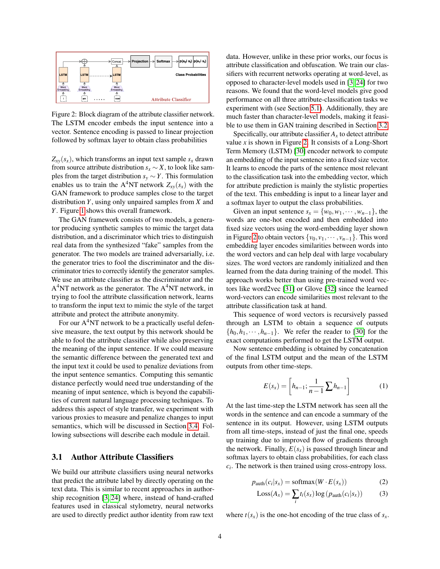<span id="page-3-0"></span>

Figure 2: Block diagram of the attribute classifier network. The LSTM encoder embeds the input sentence into a vector. Sentence encoding is passed to linear projection followed by softmax layer to obtain class probabilities

 $Z_{xy}(s_x)$ , which transforms an input text sample  $s_x$  drawn from source attribute distribution  $s_x \sim X$ , to look like samples from the target distribution  $s_y \sim Y$ . This formulation enables us to train the A<sup>4</sup>NT network  $Z_{xy}(s_x)$  with the GAN framework to produce samples close to the target distribution *Y*, using only unpaired samples from *X* and *Y*. Figure [1](#page-2-0) shows this overall framework.

The GAN framework consists of two models, a generator producing synthetic samples to mimic the target data distribution, and a discriminator which tries to distinguish real data from the synthesized "fake" samples from the generator. The two models are trained adversarially, i.e. the generator tries to fool the discriminator and the discriminator tries to correctly identify the generator samples. We use an attribute classifier as the discriminator and the A<sup>4</sup>NT network as the generator. The A<sup>4</sup>NT network, in trying to fool the attribute classification network, learns to transform the input text to mimic the style of the target attribute and protect the attribute anonymity.

For our A<sup>4</sup>NT network to be a practically useful defensive measure, the text output by this network should be able to fool the attribute classifier while also preserving the meaning of the input sentence. If we could measure the semantic difference between the generated text and the input text it could be used to penalize deviations from the input sentence semantics. Computing this semantic distance perfectly would need true understanding of the meaning of input sentence, which is beyond the capabilities of current natural language processing techniques. To address this aspect of style transfer, we experiment with various proxies to measure and penalize changes to input semantics, which will be discussed in Section [3.4.](#page-5-0) Following subsections will describe each module in detail.

#### <span id="page-3-1"></span>3.1 Author Attribute Classifiers

We build our attribute classifiers using neural networks that predict the attribute label by directly operating on the text data. This is similar to recent approaches in authorship recognition [\[3,](#page-13-1) [24\]](#page-14-7) where, instead of hand-crafted features used in classical stylometry, neural networks are used to directly predict author identity from raw text data. However, unlike in these prior works, our focus is attribute classification and obfuscation. We train our classifiers with recurrent networks operating at word-level, as opposed to character-level models used in [\[3,](#page-13-1) [24\]](#page-14-7) for two reasons. We found that the word-level models give good performance on all three attribute-classification tasks we experiment with (see Section [5.1\)](#page-8-0). Additionally, they are much faster than character-level models, making it feasible to use them in GAN training described in Section [3.2.](#page-4-0)

Specifically, our attribute classifier  $A<sub>x</sub>$  to detect attribute value  $x$  is shown in Figure [2.](#page-3-0) It consists of a Long-Short Term Memory (LSTM) [\[30\]](#page-14-13) encoder network to compute an embedding of the input sentence into a fixed size vector. It learns to encode the parts of the sentence most relevant to the classification task into the embedding vector, which for attribute prediction is mainly the stylistic properties of the text. This embedding is input to a linear layer and a softmax layer to output the class probabilities.

Given an input sentence  $s_x = \{w_0, w_1, \dots, w_{n-1}\},$  the words are one-hot encoded and then embedded into fixed size vectors using the word-embedding layer shown in Figure [2](#page-3-0) to obtain vectors  $\{v_0, v_1, \dots, v_{n-1}\}$ . This word embedding layer encodes similarities between words into the word vectors and can help deal with large vocabulary sizes. The word vectors are randomly initialized and then learned from the data during training of the model. This approach works better than using pre-trained word vectors like word2vec [\[31\]](#page-14-14) or Glove [\[32\]](#page-14-15) since the learned word-vectors can encode similarities most relevant to the attribute classification task at hand.

This sequence of word vectors is recursively passed through an LSTM to obtain a sequence of outputs  $\{h_0, h_1, \dots, h_{n-1}\}$ . We refer the reader to [\[30\]](#page-14-13) for the exact computations performed to get the LSTM output.

Now sentence embedding is obtained by concatenation of the final LSTM output and the mean of the LSTM outputs from other time-steps.

$$
E(s_x) = \left[ h_{n-1}; \frac{1}{n-1} \sum h_{n-1} \right]
$$
 (1)

At the last time-step the LSTM network has seen all the words in the sentence and can encode a summary of the sentence in its output. However, using LSTM outputs from all time-steps, instead of just the final one, speeds up training due to improved flow of gradients through the network. Finally,  $E(s_x)$  is passed through linear and softmax layers to obtain class probabilities, for each class  $c_i$ . The network is then trained using cross-entropy loss.

$$
p_{\text{auth}}(c_i|s_x) = \text{softmax}(W \cdot E(s_x)) \tag{2}
$$

$$
Loss(A_x) = \sum_{i} t_i(s_x) \log (p_{\text{auth}}(c_i|s_x))
$$
 (3)

where  $t(s_x)$  is the one-hot encoding of the true class of  $s_x$ .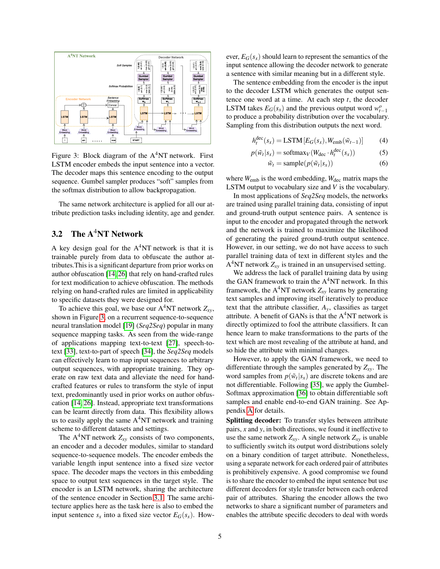<span id="page-4-1"></span>

Figure 3: Block diagram of the  $A<sup>4</sup>NT$  network. First LSTM encoder embeds the input sentence into a vector. The decoder maps this sentence encoding to the output sequence. Gumbel sampler produces "soft" samples from the softmax distribution to allow backpropagation.

The same network architecture is applied for all our attribute prediction tasks including identity, age and gender.

# <span id="page-4-0"></span>3.2 The A<sup>4</sup>NT Network

A key design goal for the  $A<sup>4</sup>NT$  network is that it is trainable purely from data to obfuscate the author attributes.This is a significant departure from prior works on author obfuscation [\[14,](#page-13-12) [26\]](#page-14-9) that rely on hand-crafted rules for text modification to achieve obfuscation. The methods relying on hand-crafted rules are limited in applicability to specific datasets they were designed for.

To achieve this goal, we base our A <sup>4</sup>NT network *Zxy*, shown in Figure [3,](#page-4-1) on a recurrent sequence-to-sequence neural translation model [\[19\]](#page-14-2) (*Seq2Seq*) popular in many sequence mapping tasks. As seen from the wide-range of applications mapping text-to-text [\[27\]](#page-14-10), speech-totext [\[33\]](#page-14-16), text-to-part of speech [\[34\]](#page-14-17), the *Seq2Seq* models can effectively learn to map input sequences to arbitrary output sequences, with appropriate training. They operate on raw text data and alleviate the need for handcrafted features or rules to transform the style of input text, predominantly used in prior works on author obfuscation [\[14,](#page-13-12) [26\]](#page-14-9). Instead, appropriate text transformations can be learnt directly from data. This flexibility allows us to easily apply the same  $A<sup>4</sup>NT$  network and training scheme to different datasets and settings.

The  $A^4NT$  network  $Z_{xy}$  consists of two components, an encoder and a decoder modules, similar to standard sequence-to-sequence models. The encoder embeds the variable length input sentence into a fixed size vector space. The decoder maps the vectors in this embedding space to output text sequences in the target style. The encoder is an LSTM network, sharing the architecture of the sentence encoder in Section [3.1.](#page-3-1) The same architecture applies here as the task here is also to embed the input sentence  $s_x$  into a fixed size vector  $E_G(s_x)$ . However,  $E_G(s_x)$  should learn to represent the semantics of the input sentence allowing the decoder network to generate a sentence with similar meaning but in a different style.

The sentence embedding from the encoder is the input to the decoder LSTM which generates the output sentence one word at a time. At each step *t*, the decoder LSTM takes  $E_G(s_x)$  and the previous output word  $w_{t-1}^o$ to produce a probability distribution over the vocabulary. Sampling from this distribution outputs the next word.

$$
h_t^{\text{dec}}(s_x) = \text{LSTM}\left[E_G(s_x), W_{\text{emb}}(\tilde{w}_{t-1})\right]
$$
 (4)

$$
p(\tilde{w}_t|s_x) = \text{softmax}_V(W_{\text{dec}} \cdot h_t^{\text{dec}}(s_x))
$$
 (5)

<span id="page-4-2"></span>
$$
\tilde{w}_t = \text{sample}(p(\tilde{w}_t | s_x)) \tag{6}
$$

where  $W_{\text{emb}}$  is the word embedding,  $W_{\text{dec}}$  matrix maps the LSTM output to vocabulary size and *V* is the vocabulary.

In most applications of *Seq2Seq* models, the networks are trained using parallel training data, consisting of input and ground-truth output sentence pairs. A sentence is input to the encoder and propagated through the network and the network is trained to maximize the likelihood of generating the paired ground-truth output sentence. However, in our setting, we do not have access to such parallel training data of text in different styles and the  $A<sup>4</sup>NT$  network  $Z_{xy}$  is trained in an unsupervised setting.

We address the lack of parallel training data by using the GAN framework to train the  $A<sup>4</sup>NT$  network. In this framework, the A <sup>4</sup>NT network *Zxy* learns by generating text samples and improving itself iteratively to produce text that the attribute classifier, *Ay*, classifies as target attribute. A benefit of GANs is that the  $A<sup>4</sup>NT$  network is directly optimized to fool the attribute classifiers. It can hence learn to make transformations to the parts of the text which are most revealing of the attribute at hand, and so hide the attribute with minimal changes.

However, to apply the GAN framework, we need to differentiate through the samples generated by *Zxy*. The word samples from  $p(\tilde{w}_t | s_x)$  are discrete tokens and are not differentiable. Following [\[35\]](#page-14-18), we apply the Gumbel-Softmax approximation [\[36\]](#page-14-19) to obtain differentiable soft samples and enable end-to-end GAN training. See Appendix [A](#page-15-0) for details.

Splitting decoder: To transfer styles between attribute pairs, *x* and *y*, in both directions, we found it ineffective to use the same network  $Z_{xy}$ . A single network  $Z_{xy}$  is unable to sufficiently switch its output word distributions solely on a binary condition of target attribute. Nonetheless, using a separate network for each ordered pair of attributes is prohibitively expensive. A good compromise we found is to share the encoder to embed the input sentence but use different decoders for style transfer between each ordered pair of attributes. Sharing the encoder allows the two networks to share a significant number of parameters and enables the attribute specific decoders to deal with words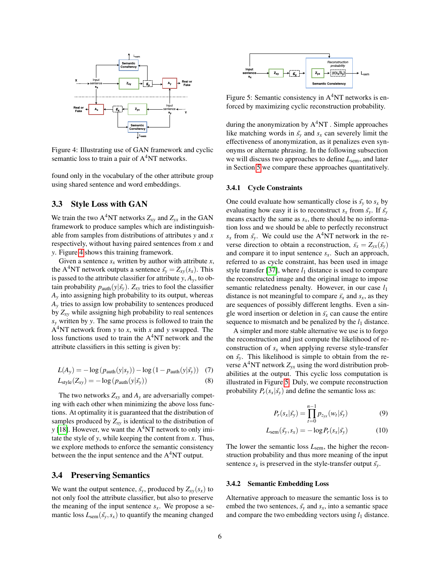<span id="page-5-1"></span>

Figure 4: Illustrating use of GAN framework and cyclic semantic loss to train a pair of  $A<sup>4</sup>NT$  networks.

found only in the vocabulary of the other attribute group using shared sentence and word embeddings.

## 3.3 Style Loss with GAN

We train the two  $A^4NT$  networks  $Z_{xy}$  and  $Z_{yx}$  in the GAN framework to produce samples which are indistinguishable from samples from distributions of attributes *y* and *x* respectively, without having paired sentences from *x* and *y*. Figure [4](#page-5-1) shows this training framework.

Given a sentence  $s_x$  written by author with attribute  $x$ , the A<sup>4</sup>NT network outputs a sentence  $\tilde{s}_y = Z_{xy}(s_x)$ . This is passed to the attribute classifier for attribute  $y$ ,  $A_y$ , to obtain probability  $p_{\text{auth}}(y|\tilde{s_y})$ .  $Z_{xy}$  tries to fool the classifier  $A<sub>y</sub>$  into assigning high probability to its output, whereas *A<sup>y</sup>* tries to assign low probability to sentences produced by *Zxy* while assigning high probability to real sentences *s<sup>y</sup>* written by *y*. The same process is followed to train the A <sup>4</sup>NT network from *y* to *x*, with *x* and *y* swapped. The loss functions used to train the A <sup>4</sup>NT network and the attribute classifiers in this setting is given by:

$$
L(A_y) = -\log\left(p_{\text{auth}}(y|s_y)\right) - \log\left(1 - p_{\text{auth}}(y|\tilde{s_y})\right) \tag{7}
$$

$$
L_{style}(Z_{xy}) = -\log\left(p_{auth}(y|\tilde{s_y})\right)
$$
\n(8)

The two networks  $Z_{xy}$  and  $A_y$  are adversarially competing with each other when minimizing the above loss functions. At optimality it is guaranteed that the distribution of samples produced by  $Z_{xy}$  is identical to the distribution of *y* [\[18\]](#page-14-1). However, we want the A<sup>4</sup>NT network to only imitate the style of *y*, while keeping the content from *x*. Thus, we explore methods to enforce the semantic consistency between the the input sentence and the  $A<sup>4</sup>NT$  output.

#### <span id="page-5-0"></span>3.4 Preserving Semantics

We want the output sentence,  $\tilde{s_y}$ , produced by  $Z_{xy}(s_x)$  to not only fool the attribute classifier, but also to preserve the meaning of the input sentence  $s<sub>x</sub>$ . We propose a semantic loss  $L_{sem}(\tilde{s_y}, s_x)$  to quantify the meaning changed

<span id="page-5-2"></span>

Figure 5: Semantic consistency in  $A<sup>4</sup>NT$  networks is enforced by maximizing cyclic reconstruction probability.

during the anonymization by  $A<sup>4</sup>NT$  . Simple approaches like matching words in  $\tilde{s_y}$  and  $s_x$  can severely limit the effectiveness of anonymization, as it penalizes even synonyms or alternate phrasing. In the following subsection we will discuss two approaches to define *L*sem, and later in Section [5](#page-8-1) we compare these approaches quantitatively.

#### <span id="page-5-4"></span>3.4.1 Cycle Constraints

One could evaluate how semantically close is  $\tilde{s_y}$  to  $s_x$  by evaluating how easy it is to reconstruct  $s_x$  from  $\tilde{s_y}$ . If  $\tilde{s_y}$ means exactly the same as  $s<sub>x</sub>$ , there should be no information loss and we should be able to perfectly reconstruct  $s_x$  from  $\tilde{s_y}$ . We could use the A<sup>4</sup>NT network in the reverse direction to obtain a reconstruction,  $\ddot{s}_x = Z_{yx}(\tilde{s}_y)$ and compare it to input sentence *sx*. Such an approach, referred to as cycle constraint, has been used in image style transfer [\[37\]](#page-14-20), where  $l_1$  distance is used to compare the reconstructed image and the original image to impose semantic relatedness penalty. However, in our case *l*<sup>1</sup> distance is not meaningful to compare  $\ddot{s}_x$  and  $s_x$ , as they are sequences of possibly different lengths. Even a single word insertion or deletion in  $\ddot{s}$ <sup>r</sup> can cause the entire sequence to mismatch and be penalized by the  $l_1$  distance.

A simpler and more stable alternative we use is to forgo the reconstruction and just compute the likelihood of reconstruction of  $s_x$  when applying reverse style-transfer on  $\tilde{s_y}$ . This likelihood is simple to obtain from the reverse  $A^4NT$  network  $Z_{yx}$  using the word distribution probabilities at the output. This cyclic loss computation is illustrated in Figure [5.](#page-5-2) Duly, we compute reconstruction probability  $P_r(s_x|\tilde{s_y})$  and define the semantic loss as:

$$
P_r(s_x|\tilde{s_y}) = \prod_{t=0}^{n-1} p_{z_{yx}}(w_t|\tilde{s_y})
$$
 (9)

$$
L_{\text{sem}}(\tilde{s_y}, s_x) = -\log P_r(s_x | \tilde{s_y}) \tag{10}
$$

The lower the semantic loss *L*sem, the higher the reconstruction probability and thus more meaning of the input sentence  $s_x$  is preserved in the style-transfer output  $\tilde{s_y}$ .

#### <span id="page-5-3"></span>3.4.2 Semantic Embedding Loss

Alternative approach to measure the semantic loss is to embed the two sentences,  $\tilde{s_y}$  and  $s_x$ , into a semantic space and compare the two embedding vectors using  $l_1$  distance.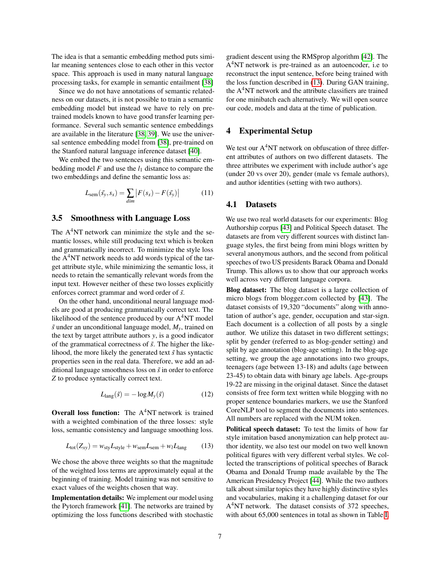The idea is that a semantic embedding method puts similar meaning sentences close to each other in this vector space. This approach is used in many natural language processing tasks, for example in semantic entailment [\[38\]](#page-15-1)

Since we do not have annotations of semantic relatedness on our datasets, it is not possible to train a semantic embedding model but instead we have to rely on pretrained models known to have good transfer learning performance. Several such semantic sentence embeddings are available in the literature [\[38,](#page-15-1) [39\]](#page-15-2). We use the universal sentence embedding model from [\[38\]](#page-15-1), pre-trained on the Stanford natural language inference dataset [\[40\]](#page-15-3).

We embed the two sentences using this semantic embedding model  $F$  and use the  $l_1$  distance to compare the two embeddings and define the semantic loss as:

$$
L_{\text{sem}}(\tilde{s_y}, s_x) = \sum_{\text{dim}} |F(s_x) - F(\tilde{s_y})| \tag{11}
$$

#### <span id="page-6-2"></span>3.5 Smoothness with Language Loss

The A<sup>4</sup>NT network can minimize the style and the semantic losses, while still producing text which is broken and grammatically incorrect. To minimize the style loss the A<sup>4</sup>NT network needs to add words typical of the target attribute style, while minimizing the semantic loss, it needs to retain the semantically relevant words from the input text. However neither of these two losses explicitly enforces correct grammar and word order of  $\tilde{s}$ .

On the other hand, unconditional neural language models are good at producing grammatically correct text. The likelihood of the sentence produced by our A<sup>4</sup>NT model  $\tilde{s}$  under an unconditional language model,  $M_{v}$ , trained on the text by target attribute authors *y*, is a good indicator of the grammatical correctness of  $\tilde{s}$ . The higher the likelihood, the more likely the generated text  $\tilde{s}$  has syntactic properties seen in the real data. Therefore, we add an additional language smoothness loss on  $\tilde{s}$  in order to enforce *Z* to produce syntactically correct text.

$$
L_{\text{lang}}(\tilde{s}) = -\log M_{y}(\tilde{s})\tag{12}
$$

Overall loss function: The  $A<sup>4</sup>NT$  network is trained with a weighted combination of the three losses: style loss, semantic consistency and language smoothing loss.

$$
L_{\text{tot}}(Z_{xy}) = w_{\text{sty}}L_{\text{style}} + w_{\text{sem}}L_{\text{sem}} + w_{l}L_{\text{lang}}
$$
 (13)

We chose the above three weights so that the magnitude of the weighted loss terms are approximately equal at the beginning of training. Model training was not sensitive to exact values of the weights chosen that way.

Implementation details: We implement our model using the Pytorch framework [\[41\]](#page-15-4). The networks are trained by optimizing the loss functions described with stochastic gradient descent using the RMSprop algorithm [\[42\]](#page-15-5). The A<sup>4</sup>NT network is pre-trained as an autoencoder, i.e to reconstruct the input sentence, before being trained with the loss function described in [\(13\)](#page-6-0). During GAN training, the A <sup>4</sup>NT network and the attribute classifiers are trained for one minibatch each alternatively. We will open source our code, models and data at the time of publication.

#### <span id="page-6-1"></span>4 Experimental Setup

We test our A<sup>4</sup>NT network on obfuscation of three different attributes of authors on two different datasets. The three attributes we experiment with include author's age (under 20 vs over 20), gender (male vs female authors), and author identities (setting with two authors).

#### 4.1 Datasets

We use two real world datasets for our experiments: Blog Authorship corpus [\[43\]](#page-15-6) and Political Speech dataset. The datasets are from very different sources with distinct language styles, the first being from mini blogs written by several anonymous authors, and the second from political speeches of two US presidents Barack Obama and Donald Trump. This allows us to show that our approach works well across very different language corpora.

Blog dataset: The blog dataset is a large collection of micro blogs from blogger.com collected by [\[43\]](#page-15-6). The dataset consists of 19,320 "documents" along with annotation of author's age, gender, occupation and star-sign. Each document is a collection of all posts by a single author. We utilize this dataset in two different settings; split by gender (referred to as blog-gender setting) and split by age annotation (blog-age setting). In the blog-age setting, we group the age annotations into two groups, teenagers (age between 13-18) and adults (age between 23-45) to obtain data with binary age labels. Age-groups 19-22 are missing in the original dataset. Since the dataset consists of free form text written while blogging with no proper sentence boundaries markers, we use the Stanford CoreNLP tool to segment the documents into sentences. All numbers are replaced with the NUM token.

<span id="page-6-0"></span>Political speech dataset: To test the limits of how far style imitation based anonymization can help protect author identity, we also test our model on two well known political figures with very different verbal styles. We collected the transcriptions of political speeches of Barack Obama and Donald Trump made available by the The American Presidency Project [\[44\]](#page-15-7). While the two authors talk about similar topics they have highly distinctive styles and vocabularies, making it a challenging dataset for our A<sup>4</sup>NT network. The dataset consists of 372 speeches, with about 65,000 sentences in total as shown in Table [I.](#page-7-0)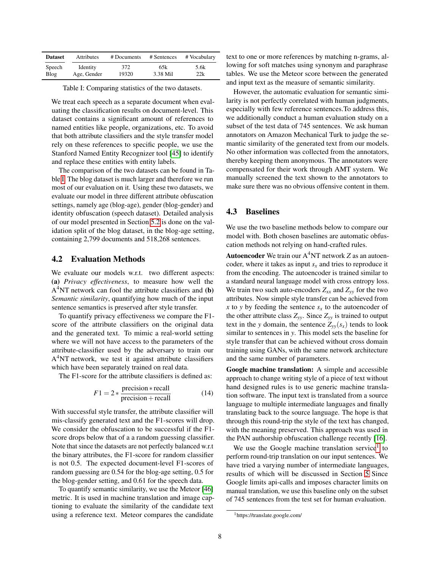<span id="page-7-0"></span>

| <b>Dataset</b><br><b>Attributes</b> |             | # Documents | # Sentences | # Vocabulary |  |
|-------------------------------------|-------------|-------------|-------------|--------------|--|
| Speech                              | Identity    | 372         | 65k         | 5.6k         |  |
| Blog                                | Age, Gender | 19320       | 3.38 Mil    | 22k          |  |

Table I: Comparing statistics of the two datasets.

We treat each speech as a separate document when evaluating the classification results on document-level. This dataset contains a significant amount of references to named entities like people, organizations, etc. To avoid that both attribute classifiers and the style transfer model rely on these references to specific people, we use the Stanford Named Entity Recognizer tool [\[45\]](#page-15-8) to identify and replace these entities with entity labels.

The comparison of the two datasets can be found in Table [I.](#page-7-0) The blog dataset is much larger and therefore we run most of our evaluation on it. Using these two datasets, we evaluate our model in three different attribute obfuscation settings, namely age (blog-age), gender (blog-gender) and identity obfuscation (speech dataset). Detailed analysis of our model presented in Section [5.2](#page-10-0) is done on the validation split of the blog dataset, in the blog-age setting, containing 2,799 documents and 518,268 sentences.

#### 4.2 Evaluation Methods

We evaluate our models w.r.t. two different aspects: (a) *Privacy effectiveness*, to measure how well the  $A<sup>4</sup>NT$  network can fool the attribute classifiers and (b) *Semantic similarity*, quantifying how much of the input sentence semantics is preserved after style transfer.

To quantify privacy effectiveness we compare the F1 score of the attribute classifiers on the original data and the generated text. To mimic a real-world setting where we will not have access to the parameters of the attribute-classifier used by the adversary to train our A<sup>4</sup>NT network, we test it against attribute classifiers which have been separately trained on real data.

The F1-score for the attribute classifiers is defined as:

$$
F1 = 2 * \frac{\text{precision} * \text{recall}}{\text{precision} + \text{recall}} \tag{14}
$$

With successful style transfer, the attribute classifier will mis-classify generated text and the F1-scores will drop. We consider the obfuscation to be successful if the F1 score drops below that of a a random guessing classifier. Note that since the datasets are not perfectly balanced w.r.t the binary attributes, the F1-score for random classifier is not 0.5. The expected document-level F1-scores of random guessing are 0.54 for the blog-age setting, 0.5 for the blog-gender setting, and 0.61 for the speech data.

To quantify semantic similarity, we use the Meteor [\[46\]](#page-15-9) metric. It is used in machine translation and image captioning to evaluate the similarity of the candidate text using a reference text. Meteor compares the candidate text to one or more references by matching n-grams, allowing for soft matches using synonym and paraphrase tables. We use the Meteor score between the generated and input text as the measure of semantic similarity.

However, the automatic evaluation for semantic similarity is not perfectly correlated with human judgments, especially with few reference sentences.To address this, we additionally conduct a human evaluation study on a subset of the test data of 745 sentences. We ask human annotators on Amazon Mechanical Turk to judge the semantic similarity of the generated text from our models. No other information was collected from the annotators, thereby keeping them anonymous. The annotators were compensated for their work through AMT system. We manually screened the text shown to the annotators to make sure there was no obvious offensive content in them.

#### <span id="page-7-2"></span>4.3 Baselines

We use the two baseline methods below to compare our model with. Both chosen baselines are automatic obfuscation methods not relying on hand-crafted rules.

Autoencoder We train our A <sup>4</sup>NT network *Z* as an autoencoder, where it takes as input  $s_x$  and tries to reproduce it from the encoding. The autoencoder is trained similar to a standard neural language model with cross entropy loss. We train two such auto-encoders  $Z_{xx}$  and  $Z_{yy}$  for the two attributes. Now simple style transfer can be achieved from *x* to *y* by feeding the sentence  $s<sub>x</sub>$  to the autoencoder of the other attribute class  $Z_{yy}$ . Since  $Z_{yy}$  is trained to output text in the *y* domain, the sentence  $Z_{yy}(s_x)$  tends to look similar to sentences in *y*. This model sets the baseline for style transfer that can be achieved without cross domain training using GANs, with the same network architecture and the same number of parameters.

Google machine translation: A simple and accessible approach to change writing style of a piece of text without hand designed rules is to use generic machine translation software. The input text is translated from a source language to multiple intermediate languages and finally translating back to the source language. The hope is that through this round-trip the style of the text has changed, with the meaning preserved. This approach was used in the PAN authorship obfuscation challenge recently [\[16\]](#page-13-14).

We use the Google machine translation service<sup>[1](#page-7-1)</sup> to perform round-trip translation on our input sentences. We have tried a varying number of intermediate languages, results of which will be discussed in Section [5](#page-8-1) Since Google limits api-calls and imposes character limits on manual translation, we use this baseline only on the subset of 745 sentences from the test set for human evaluation.

<span id="page-7-1"></span><sup>1</sup>https://translate.google.com/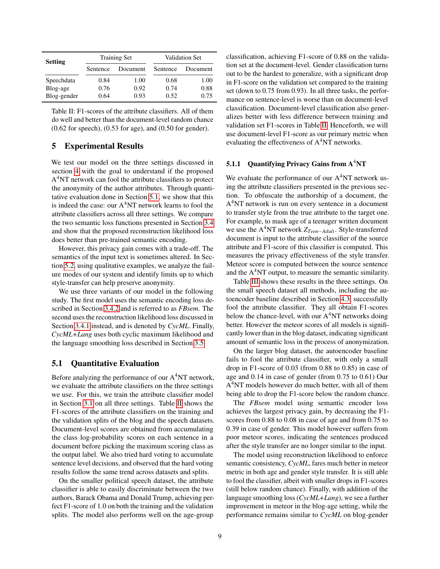<span id="page-8-2"></span>

| <b>Setting</b> |          | <b>Training Set</b> | Validation Set |          |  |
|----------------|----------|---------------------|----------------|----------|--|
|                | Sentence | Document            | Sentence       | Document |  |
| Speechdata     | 0.84     | 1.00                | 0.68           | 1.00     |  |
| Blog-age       | 0.76     | 0.92                | 0.74           | 0.88     |  |
| Blog-gender    | 0.64     | 0.93                | 0.52           | 0.75     |  |

Table II: F1-scores of the attribute classifiers. All of them do well and better than the document-level random chance (0.62 for speech), (0.53 for age), and (0.50 for gender).

## <span id="page-8-1"></span>5 Experimental Results

We test our model on the three settings discussed in section [4](#page-6-1) with the goal to understand if the proposed A<sup>4</sup>NT network can fool the attribute classifiers to protect the anonymity of the author attributes. Through quantitative evaluation done in Section [5.1,](#page-8-0) we show that this is indeed the case: our A <sup>4</sup>NT network learns to fool the attribute classifiers across all three settings. We compare the two semantic loss functions presented in Section [3.4](#page-5-0) and show that the proposed reconstruction likelihood loss does better than pre-trained semantic encoding.

However, this privacy gain comes with a trade-off. The semantics of the input text is sometimes altered. In Section [5.2,](#page-10-0) using qualitative examples, we analyze the failure modes of our system and identify limits up to which style-transfer can help preserve anonymity.

We use three variants of our model in the following study. The first model uses the semantic encoding loss described in Section [3.4.2](#page-5-3) and is referred to as *FBsem*. The second uses the reconstruction likelihood loss discussed in Section [3.4.1](#page-5-4) instead, and is denoted by *CycML*. Finally, *CycML+Lang* uses both cyclic maximum likelihood and the language smoothing loss described in Section [3.5.](#page-6-2)

## <span id="page-8-0"></span>5.1 Quantitative Evaluation

Before analyzing the performance of our  $A<sup>4</sup>NT$  network, we evaluate the attribute classifiers on the three settings we use. For this, we train the attribute classifier model in Section [3.1](#page-3-1) on all three settings. Table [II](#page-8-2) shows the F1-scores of the attribute classifiers on the training and the validation splits of the blog and the speech datasets. Document-level scores are obtained from accumulating the class log-probability scores on each sentence in a document before picking the maximum scoring class as the output label. We also tried hard voting to accumulate sentence level decisions, and observed that the hard voting results follow the same trend across datasets and splits.

On the smaller political speech dataset, the attribute classifier is able to easily discriminate between the two authors, Barack Obama and Donald Trump, achieving perfect F1-score of 1.0 on both the training and the validation splits. The model also performs well on the age-group classification, achieving F1-score of 0.88 on the validation set at the document-level. Gender classification turns out to be the hardest to generalize, with a significant drop in F1-score on the validation set compared to the training set (down to 0.75 from 0.93). In all three tasks, the performance on sentence-level is worse than on document-level classification. Document-level classification also generalizes better with less difference between training and validation set F1-scores in Table [II.](#page-8-2) Henceforth, we will use document-level F1-score as our primary metric when evaluating the effectiveness of  $A<sup>4</sup>NT$  networks.

## 5.1.1 Quantifying Privacy Gains from  $A<sup>4</sup>NT$

We evaluate the performance of our  $A<sup>4</sup>NT$  network using the attribute classifiers presented in the previous section. To obfuscate the authorship of a document, the A<sup>4</sup>NT network is run on every sentence in a document to transfer style from the true attribute to the target one. For example, to mask age of a teenager written document we use the A <sup>4</sup>NT network *ZTeen*−*Adult*. Style-transferred document is input to the attribute classifier of the source attribute and F1-score of this classifier is computed. This measures the privacy effectiveness of the style transfer. Meteor score is computed between the source sentence and the  $A<sup>4</sup>NT$  output, to measure the semantic similarity.

Table [III](#page-9-0) shows these results in the three settings. On the small speech dataset all methods, including the autoencoder baseline described in Section [4.3,](#page-7-2) successfully fool the attribute classifier. They all obtain F1-scores below the chance-level, with our  $A<sup>4</sup>NT$  networks doing better. However the meteor scores of all models is significantly lower than in the blog dataset, indicating significant amount of semantic loss in the process of anonymization.

On the larger blog dataset, the autoencoder baseline fails to fool the attribute classifier, with only a small drop in F1-score of 0.03 (from 0.88 to 0.85) in case of age and 0.14 in case of gender (from 0.75 to 0.61) Our  $A<sup>4</sup>NT$  models however do much better, with all of them being able to drop the F1-score below the random chance.

The *FBsem* model using semantic encoder loss achieves the largest privacy gain, by decreasing the F1 scores from 0.88 to 0.08 in case of age and from 0.75 to 0.39 in case of gender. This model however suffers from poor meteor scores, indicating the sentences produced after the style transfer are no longer similar to the input.

The model using reconstruction likelihood to enforce semantic consistency, *CycML*, fares much better in meteor metric in both age and gender style transfer. It is still able to fool the classifier, albeit with smaller drops in F1-scores (still below random chance). Finally, with addition of the language smoothing loss (*CycML+Lang*), we see a further improvement in meteor in the blog-age setting, while the performance remains similar to *CycML* on blog-gender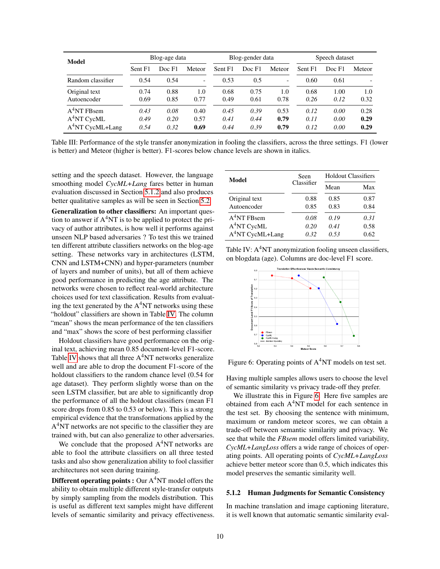<span id="page-9-0"></span>

| <b>Model</b>      | Blog-age data |        | Blog-gender data |         |        | Speech dataset |         |        |        |
|-------------------|---------------|--------|------------------|---------|--------|----------------|---------|--------|--------|
|                   | Sent F1       | Doc F1 | Meteor           | Sent F1 | Doc F1 | Meteor         | Sent F1 | Doc F1 | Meteor |
| Random classifier | 0.54          | 0.54   |                  | 0.53    | 0.5    | -              | 0.60    | 0.61   |        |
| Original text     | 0.74          | 0.88   | 1.0              | 0.68    | 0.75   | 1.0            | 0.68    | 1.00   | 1.0    |
| Autoencoder       | 0.69          | 0.85   | 0.77             | 0.49    | 0.61   | 0.78           | 0.26    | 0.12   | 0.32   |
| $A4NT$ FBsem      | 0.43          | 0.08   | 0.40             | 0.45    | 0.39   | 0.53           | 0.12    | 0.00   | 0.28   |
| $A^4$ NT CycML    | 0.49          | 0.20   | 0.57             | 0.41    | 0.44   | 0.79           | 0.11    | 0.00   | 0.29   |
| $A4NT CycML+Lang$ | 0.54          | 0.32   | 0.69             | 0.44    | 0.39   | 0.79           | 0.12    | 0.00   | 0.29   |

Table III: Performance of the style transfer anonymization in fooling the classifiers, across the three settings. F1 (lower is better) and Meteor (higher is better). F1-scores below chance levels are shown in italics.

setting and the speech dataset. However, the language smoothing model *CycML+Lang* fares better in human evaluation discussed in Section [5.1.2](#page-9-1) and also produces better qualitative samples as will be seen in Section [5.2.](#page-10-0)

Generalization to other classifiers: An important question to answer if  $A<sup>4</sup>NT$  is to be applied to protect the privacy of author attributes, is how well it performs against unseen NLP based adversaries ? To test this we trained ten different attribute classifiers networks on the blog-age setting. These networks vary in architectures (LSTM, CNN and LSTM+CNN) and hyper-parameters (number of layers and number of units), but all of them achieve good performance in predicting the age attribute. The networks were chosen to reflect real-world architecture choices used for text classification. Results from evaluating the text generated by the  $A<sup>4</sup>NT$  networks using these "holdout" classifiers are shown in Table [IV.](#page-9-2) The column "mean" shows the mean performance of the ten classifiers and "max" shows the score of best performing classifier

Holdout classifiers have good performance on the original text, achieving mean 0.85 document-level F1-score. Table [IV](#page-9-2) shows that all three A<sup>4</sup>NT networks generalize well and are able to drop the document F1-score of the holdout classifiers to the random chance level (0.54 for age dataset). They perform slightly worse than on the seen LSTM classifier, but are able to significantly drop the performance of all the holdout classifiers (mean F1 score drops from 0.85 to 0.53 or below). This is a strong empirical evidence that the transformations applied by the A<sup>4</sup>NT networks are not specific to the classifier they are trained with, but can also generalize to other adversaries.

We conclude that the proposed  $A<sup>4</sup>NT$  networks are able to fool the attribute classifiers on all three tested tasks and also show generalization ability to fool classifier architectures not seen during training.

**Different operating points :** Our  $A<sup>4</sup>NT$  model offers the ability to obtain multiple different style-transfer outputs by simply sampling from the models distribution. This is useful as different text samples might have different levels of semantic similarity and privacy effectiveness.

<span id="page-9-2"></span>

| Model                        | Seen         | <b>Holdout Classifiers</b> |              |  |
|------------------------------|--------------|----------------------------|--------------|--|
|                              | Classifier   | Mean                       | Max          |  |
| Original text<br>Autoencoder | 0.88<br>0.85 | 0.85<br>0.83               | 0.87<br>0.84 |  |
| $A4NT$ FBsem                 | 0.08         | 0.19                       | 0.31         |  |
| $A4NT$ CycML                 | 0.20         | 0.41                       | 0.58         |  |
| $A4NT CycML+Lang$            | 0.32         | 0.53                       | 0.62         |  |

<span id="page-9-3"></span>Table IV: A<sup>4</sup>NT anonymization fooling unseen classifiers, on blogdata (age). Columns are doc-level F1 score.



Figure 6: Operating points of  $A<sup>4</sup>NT$  models on test set.

Having multiple samples allows users to choose the level of semantic similarity vs privacy trade-off they prefer.

We illustrate this in Figure [6.](#page-9-3) Here five samples are obtained from each A <sup>4</sup>NT model for each sentence in the test set. By choosing the sentence with minimum, maximum or random meteor scores, we can obtain a trade-off between semantic similarity and privacy. We see that while the *FBsem* model offers limited variability, *CycML+LangLoss* offers a wide range of choices of operating points. All operating points of *CycML+LangLoss* achieve better meteor score than 0.5, which indicates this model preserves the semantic similarity well.

#### <span id="page-9-1"></span>5.1.2 Human Judgments for Semantic Consistency

In machine translation and image captioning literature, it is well known that automatic semantic similarity eval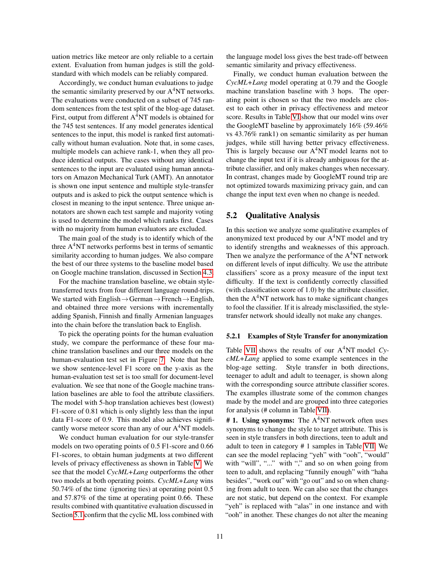uation metrics like meteor are only reliable to a certain extent. Evaluation from human judges is still the goldstandard with which models can be reliably compared.

Accordingly, we conduct human evaluations to judge the semantic similarity preserved by our A<sup>4</sup>NT networks. The evaluations were conducted on a subset of 745 random sentences from the test split of the blog-age dataset. First, output from different A<sup>4</sup>NT models is obtained for the 745 test sentences. If any model generates identical sentences to the input, this model is ranked first automatically without human evaluation. Note that, in some cases, multiple models can achieve rank-1, when they all produce identical outputs. The cases without any identical sentences to the input are evaluated using human annotators on Amazon Mechanical Turk (AMT). An annotator is shown one input sentence and multiple style-transfer outputs and is asked to pick the output sentence which is closest in meaning to the input sentence. Three unique annotators are shown each test sample and majority voting is used to determine the model which ranks first. Cases with no majority from human evaluators are excluded.

The main goal of the study is to identify which of the three A<sup>4</sup>NT networks performs best in terms of semantic similarity according to human judges. We also compare the best of our three systems to the baseline model based on Google machine translation, discussed in Section [4.3.](#page-7-2)

For the machine translation baseline, we obtain styletransferred texts from four different language round-trips. We started with English $\rightarrow$ German $\rightarrow$ French $\rightarrow$ English, and obtained three more versions with incrementally adding Spanish, Finnish and finally Armenian languages into the chain before the translation back to English.

To pick the operating points for the human evaluation study, we compare the performance of these four machine translation baselines and our three models on the human-evaluation test set in Figure [7.](#page-11-0) Note that here we show sentence-level F1 score on the y-axis as the human-evaluation test set is too small for document-level evaluation. We see that none of the Google machine translation baselines are able to fool the attribute classifiers. The model with 5-hop translation achieves best (lowest) F1-score of 0.81 which is only slightly less than the input data F1-score of 0.9. This model also achieves significantly worse meteor score than any of our  $A<sup>4</sup>NT$  models.

We conduct human evaluation for our style-transfer models on two operating points of 0.5 F1-score and 0.66 F1-scores, to obtain human judgments at two different levels of privacy effectiveness as shown in Table [V.](#page-11-0) We see that the model *CycML+Lang* outperforms the other two models at both operating points. *CycML+Lang* wins 50.74% of the time (ignoring ties) at operating point 0.5 and 57.87% of the time at operating point 0.66. These results combined with quantitative evaluation discussed in Section [5.1](#page-8-0) confirm that the cyclic ML loss combined with the language model loss gives the best trade-off between semantic similarity and privacy effectiveness.

Finally, we conduct human evaluation between the *CycML+Lang* model operating at 0.79 and the Google machine translation baseline with 3 hops. The operating point is chosen so that the two models are closest to each other in privacy effectiveness and meteor score. Results in Table [VI](#page-11-0) show that our model wins over the GoogleMT baseline by approximately 16% (59.46% vs 43.76% rank1) on semantic similarity as per human judges, while still having better privacy effectiveness. This is largely because our A<sup>4</sup>NT model learns not to change the input text if it is already ambiguous for the attribute classifier, and only makes changes when necessary. In contrast, changes made by GoogleMT round trip are not optimized towards maximizing privacy gain, and can change the input text even when no change is needed.

#### <span id="page-10-0"></span>5.2 Qualitative Analysis

In this section we analyze some qualitative examples of anonymized text produced by our A<sup>4</sup>NT model and try to identify strengths and weaknesses of this approach. Then we analyze the performance of the A<sup>4</sup>NT network on different levels of input difficulty. We use the attribute classifiers' score as a proxy measure of the input text difficulty. If the text is confidently correctly classified (with classification score of 1.0) by the attribute classifier, then the  $A<sup>4</sup>NT$  network has to make significant changes to fool the classifier. If it is already misclassified, the styletransfer network should ideally not make any changes.

#### 5.2.1 Examples of Style Transfer for anonymization

Table [VII](#page-12-0) shows the results of our A <sup>4</sup>NT model *CycML+Lang* applied to some example sentences in the blog-age setting. Style transfer in both directions, teenager to adult and adult to teenager, is shown along with the corresponding source attribute classifier scores. The examples illustrate some of the common changes made by the model and are grouped into three categories for analysis (# column in Table [VII\)](#page-12-0).

# 1. Using synonyms: The  $A<sup>4</sup>NT$  network often uses synonyms to change the style to target attribute. This is seen in style transfers in both directions, teen to adult and adult to teen in category # 1 samples in Table [VII.](#page-12-0) We can see the model replacing "yeh" with "ooh", "would" with "will", "..." with "," and so on when going from teen to adult, and replacing "funnily enough" with "haha besides", "work out" with "go out" and so on when changing from adult to teen. We can also see that the changes are not static, but depend on the context. For example "yeh" is replaced with "alas" in one instance and with "ooh" in another. These changes do not alter the meaning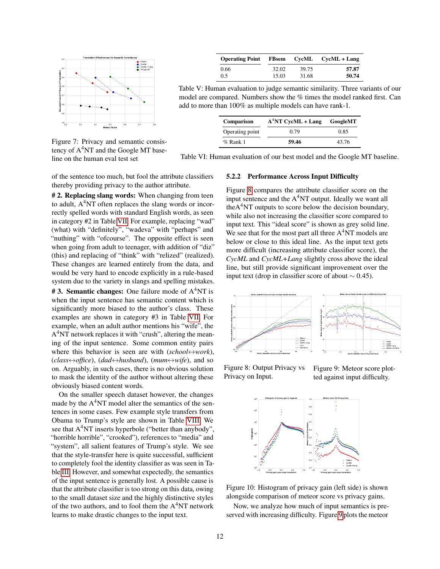<span id="page-11-0"></span>

Figure 7: Privacy and semantic consistency of A <sup>4</sup>NT and the Google MT baseline on the human eval test set

of the sentence too much, but fool the attribute classifiers thereby providing privacy to the author attribute.

# 2. Replacing slang words: When changing from teen to adult,  $A<sup>4</sup>NT$  often replaces the slang words or incorrectly spelled words with standard English words, as seen in category #2 in Table [VII.](#page-12-0) For example, replacing "wad" (what) with "definitely", "wadeva" with "perhaps" and "nuthing" with "ofcourse". The opposite effect is seen when going from adult to teenager, with addition of "diz" (this) and replacing of "think" with "relized" (realized). These changes are learned entirely from the data, and would be very hard to encode explicitly in a rule-based system due to the variety in slangs and spelling mistakes.

**#3. Semantic changes:** One failure mode of  $A<sup>4</sup>NT$  is when the input sentence has semantic content which is significantly more biased to the author's class. These examples are shown in category #3 in Table [VII.](#page-12-0) For example, when an adult author mentions his "wife", the A<sup>4</sup>NT network replaces it with "crush", altering the meaning of the input sentence. Some common entity pairs where this behavior is seen are with (*school*↔*work*),  $(class \leftrightarrow of \text{fice})$ ,  $(dad \leftrightarrow \text{husband})$ ,  $(mum \leftrightarrow \text{wife})$ , and so on. Arguably, in such cases, there is no obvious solution to mask the identity of the author without altering these obviously biased content words.

On the smaller speech dataset however, the changes made by the  $A<sup>4</sup>NT$  model alter the semantics of the sentences in some cases. Few example style transfers from Obama to Trump's style are shown in Table [VIII.](#page-12-1) We see that A<sup>4</sup>NT inserts hyperbole ("better than anybody", "horrible horrible", "crooked"), references to "media" and "system", all salient features of Trump's style. We see that the style-transfer here is quite successful, sufficient to completely fool the identity classifier as was seen in Table [III.](#page-9-0) However, and somewhat expectedly, the semantics of the input sentence is generally lost. A possible cause is that the attribute classifier is too strong on this data, owing to the small dataset size and the highly distinctive styles of the two authors, and to fool them the A <sup>4</sup>NT network learns to make drastic changes to the input text.

| <b>Operating Point</b> |       |       | FBsem CycML CycML + Lang |
|------------------------|-------|-------|--------------------------|
| 0.66                   | 32.02 | 39.75 | 57.87                    |
| 0.5                    | 15.03 | 31.68 | 50.74                    |

Table V: Human evaluation to judge semantic similarity. Three variants of our model are compared. Numbers show the % times the model ranked first. Can add to more than 100% as multiple models can have rank-1.

| Comparison      | $A^4NT$ CycML + Lang | GoogleMT |  |
|-----------------|----------------------|----------|--|
| Operating point | 0.79                 | 0.85     |  |
| $%$ Rank 1      | 59.46                | 43.76    |  |

Table VI: Human evaluation of our best model and the Google MT baseline.

#### 5.2.2 Performance Across Input Difficulty

Figure [8](#page-11-1) compares the attribute classifier score on the input sentence and the A<sup>4</sup>NT output. Ideally we want all the $A<sup>4</sup>NT$  outputs to score below the decision boundary, while also not increasing the classifier score compared to input text. This "ideal score" is shown as grey solid line. We see that for the most part all three  $A<sup>4</sup>NT$  models are below or close to this ideal line. As the input text gets more difficult (increasing attribute classifier score), the *CycML* and *CycML+Lang* slightly cross above the ideal line, but still provide significant improvement over the input text (drop in classifier score of about  $\sim$  0.45).

<span id="page-11-1"></span>

Figure 8: Output Privacy vs Privacy on Input.

Figure 9: Meteor score plotted against input difficulty.

<span id="page-11-2"></span>

Figure 10: Histogram of privacy gain (left side) is shown alongside comparison of meteor score vs privacy gains.

Now, we analyze how much of input semantics is preserved with increasing difficulty. Figure [9](#page-11-1) plots the meteor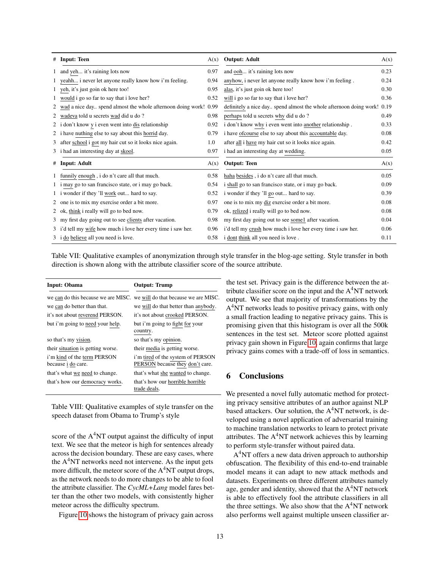<span id="page-12-0"></span>

| # | <b>Input: Teen</b>                                               | A(x) | <b>Output: Adult</b>                                               | A(x) |
|---|------------------------------------------------------------------|------|--------------------------------------------------------------------|------|
|   | 1 and yeh it's raining lots now                                  | 0.97 | and ooh it's raining lots now                                      | 0.23 |
|   | 1 yeahh i never let anyone really know how i'm feeling.          | 0.94 | anyhow, i never let anyone really know how i'm feeling.            | 0.24 |
|   | 1 yeh, it's just goin ok here too!                               | 0.95 | alas, it's just goin ok here too!                                  | 0.30 |
|   | 1 would i go so far to say that i love her?                      | 0.52 | will i go so far to say that i love her?                           | 0.36 |
|   | wad a nice day spend almost the whole afternoon doing work! 0.99 |      | definitely a nice day spend almost the whole afternoon doing work! | 0.19 |
|   | wadeva told u secrets wad did u do?                              | 0.98 | perhaps told u secrets why did u do?                               | 0.49 |
|   | 2 i don't know y i even went into dis relationship               | 0.92 | i don't know why i even went into another relationship.            | 0.33 |
|   | 2 i have nuthing else to say about this horrid day.              | 0.79 | i have of course else to say about this accountable day.           | 0.08 |
|   | 3 after school i got my hair cut so it looks nice again.         | 1.0  | after all i have my hair cut so it looks nice again.               | 0.42 |
|   | 3 i had an interesting day at skool.                             | 0.97 | i had an interesting day at wedding.                               | 0.05 |
|   | # Input: Adult                                                   | A(x) | <b>Output: Teen</b>                                                | A(x) |
|   | 1 funnily enough, i do n't care all that much.                   | 0.58 | haha besides, i do n't care all that much.                         | 0.05 |
|   | 1 i may go to san francisco state, or i may go back.             | 0.54 | i shall go to san francisco state, or i may go back.               | 0.09 |
|   | 1 i wonder if they 'll work out hard to say.                     | 0.52 | i wonder if they 'll go out hard to say.                           | 0.39 |
|   | 2 one is to mix my exercise order a bit more.                    | 0.97 | one is to mix my diz exercise order a bit more.                    | 0.08 |
|   | 2 ok, think i really will go to bed now.                         | 0.79 | ok, relized i really will go to bed now.                           | 0.08 |
|   | 3 my first day going out to see clients after vacation.          | 0.98 | my first day going out to see some1 after vacation.                | 0.04 |
|   | 3 i'd tell my wife how much i love her every time i saw her.     | 0.96 | i'd tell my crush how much i love her every time i saw her.        | 0.06 |
|   | 3 i do believe all you need is love.                             | 0.58 | i dont think all you need is love.                                 | 0.11 |

Table VII: Qualitative examples of anonymization through style transfer in the blog-age setting. Style transfer in both direction is shown along with the attribute classifier score of the source attribute.

<span id="page-12-1"></span>

| Input: Obama                                      | <b>Output: Trump</b>                                                     |
|---------------------------------------------------|--------------------------------------------------------------------------|
|                                                   | we can do this because we are MISC. we will do that because we are MISC. |
| we can do better than that.                       | we will do that better than anybody.                                     |
| it's not about reverend PERSON.                   | it's not about crooked PERSON.                                           |
| but i'm going to need your help.                  | but i'm going to fight for your<br>country.                              |
| so that's my vision.                              | so that's my opinion.                                                    |
| their situation is getting worse.                 | their media is getting worse.                                            |
| i'm kind of the term PERSON<br>because i do care. | i'm tired of the system of PERSON<br>PERSON because they don't care.     |
| that's what we need to change.                    | that's what she wanted to change.                                        |
| that's how our democracy works.                   | that's how our horrible horrible<br>trade deals.                         |

Table VIII: Qualitative examples of style transfer on the speech dataset from Obama to Trump's style

score of the A<sup>4</sup>NT output against the difficulty of input text. We see that the meteor is high for sentences already across the decision boundary. These are easy cases, where the  $A<sup>4</sup>NT$  networks need not intervene. As the input gets more difficult, the meteor score of the  $A<sup>4</sup>NT$  output drops, as the network needs to do more changes to be able to fool the attribute classifier. The *CycML+Lang* model fares better than the other two models, with consistently higher meteor across the difficulty spectrum.

Figure [10](#page-11-2) shows the histogram of privacy gain across

the test set. Privacy gain is the difference between the attribute classifier score on the input and the  $A<sup>4</sup>NT$  network output. We see that majority of transformations by the A<sup>4</sup>NT networks leads to positive privacy gains, with only a small fraction leading to negative privacy gains. This is promising given that this histogram is over all the 500k sentences in the test set. Meteor score plotted against privacy gain shown in Figure [10,](#page-11-2) again confirms that large privacy gains comes with a trade-off of loss in semantics.

# 6 Conclusions

We presented a novel fully automatic method for protecting privacy sensitive attributes of an author against NLP based attackers. Our solution, the A<sup>4</sup>NT network, is developed using a novel application of adversarial training to machine translation networks to learn to protect private attributes. The A<sup>4</sup>NT network achieves this by learning to perform style-transfer without paired data.

A<sup>4</sup>NT offers a new data driven approach to authorship obfuscation. The flexibility of this end-to-end trainable model means it can adapt to new attack methods and datasets. Experiments on three different attributes namely age, gender and identity, showed that the A<sup>4</sup>NT network is able to effectively fool the attribute classifiers in all the three settings. We also show that the  $A<sup>4</sup>NT$  network also performs well against multiple unseen classifier ar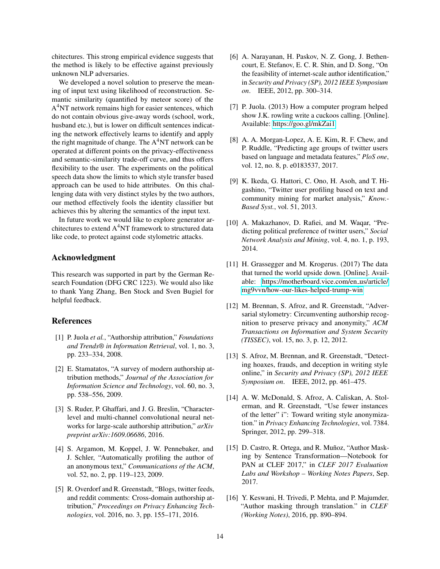chitectures. This strong empirical evidence suggests that the method is likely to be effective against previously unknown NLP adversaries.

We developed a novel solution to preserve the meaning of input text using likelihood of reconstruction. Semantic similarity (quantified by meteor score) of the A<sup>4</sup>NT network remains high for easier sentences, which do not contain obvious give-away words (school, work, husband etc.), but is lower on difficult sentences indicating the network effectively learns to identify and apply the right magnitude of change. The  $A<sup>4</sup>NT$  network can be operated at different points on the privacy-effectiveness and semantic-similarity trade-off curve, and thus offers flexibility to the user. The experiments on the political speech data show the limits to which style transfer based approach can be used to hide attributes. On this challenging data with very distinct styles by the two authors, our method effectively fools the identity classifier but achieves this by altering the semantics of the input text.

In future work we would like to explore generator architectures to extend  $A<sup>4</sup>NT$  framework to structured data like code, to protect against code stylometric attacks.

## Acknowledgment

This research was supported in part by the German Research Foundation (DFG CRC 1223). We would also like to thank Yang Zhang, Ben Stock and Sven Bugiel for helpful feedback.

#### References

- <span id="page-13-0"></span>[1] P. Juola *et al.*, "Authorship attribution," *Foundations and Trends® in Information Retrieval*, vol. 1, no. 3, pp. 233–334, 2008.
- <span id="page-13-15"></span>[2] E. Stamatatos, "A survey of modern authorship attribution methods," *Journal of the Association for Information Science and Technology*, vol. 60, no. 3, pp. 538–556, 2009.
- <span id="page-13-1"></span>[3] S. Ruder, P. Ghaffari, and J. G. Breslin, "Characterlevel and multi-channel convolutional neural networks for large-scale authorship attribution," *arXiv preprint arXiv:1609.06686*, 2016.
- <span id="page-13-2"></span>[4] S. Argamon, M. Koppel, J. W. Pennebaker, and J. Schler, "Automatically profiling the author of an anonymous text," *Communications of the ACM*, vol. 52, no. 2, pp. 119–123, 2009.
- <span id="page-13-3"></span>[5] R. Overdorf and R. Greenstadt, "Blogs, twitter feeds, and reddit comments: Cross-domain authorship attribution," *Proceedings on Privacy Enhancing Technologies*, vol. 2016, no. 3, pp. 155–171, 2016.
- <span id="page-13-4"></span>[6] A. Narayanan, H. Paskov, N. Z. Gong, J. Bethencourt, E. Stefanov, E. C. R. Shin, and D. Song, "On the feasibility of internet-scale author identification," in *Security and Privacy (SP), 2012 IEEE Symposium on*. IEEE, 2012, pp. 300–314.
- <span id="page-13-5"></span>[7] P. Juola. (2013) How a computer program helped show J.K. rowling write a cuckoos calling. [Online]. Available:<https://goo.gl/mkZai1>
- <span id="page-13-6"></span>[8] A. A. Morgan-Lopez, A. E. Kim, R. F. Chew, and P. Ruddle, "Predicting age groups of twitter users based on language and metadata features," *PloS one*, vol. 12, no. 8, p. e0183537, 2017.
- <span id="page-13-7"></span>[9] K. Ikeda, G. Hattori, C. Ono, H. Asoh, and T. Higashino, "Twitter user profiling based on text and community mining for market analysis," *Know.- Based Syst.*, vol. 51, 2013.
- <span id="page-13-8"></span>[10] A. Makazhanov, D. Rafiei, and M. Waqar, "Predicting political preference of twitter users," *Social Network Analysis and Mining*, vol. 4, no. 1, p. 193, 2014.
- <span id="page-13-9"></span>[11] H. Grassegger and M. Krogerus. (2017) The data that turned the world upside down. [Online]. Available: [https://motherboard.vice.com/en](https://motherboard.vice.com/en_us/article/mg9vvn/how-our-likes-helped-trump-win) us/article/ [mg9vvn/how-our-likes-helped-trump-win](https://motherboard.vice.com/en_us/article/mg9vvn/how-our-likes-helped-trump-win)
- <span id="page-13-10"></span>[12] M. Brennan, S. Afroz, and R. Greenstadt, "Adversarial stylometry: Circumventing authorship recognition to preserve privacy and anonymity," *ACM Transactions on Information and System Security (TISSEC)*, vol. 15, no. 3, p. 12, 2012.
- <span id="page-13-11"></span>[13] S. Afroz, M. Brennan, and R. Greenstadt, "Detecting hoaxes, frauds, and deception in writing style online," in *Security and Privacy (SP), 2012 IEEE Symposium on*. IEEE, 2012, pp. 461–475.
- <span id="page-13-12"></span>[14] A. W. McDonald, S. Afroz, A. Caliskan, A. Stolerman, and R. Greenstadt, "Use fewer instances of the letter" i": Toward writing style anonymization." in *Privacy Enhancing Technologies*, vol. 7384. Springer, 2012, pp. 299–318.
- <span id="page-13-13"></span>[15] D. Castro, R. Ortega, and R. Muñoz, "Author Masking by Sentence Transformation—Notebook for PAN at CLEF 2017," in *CLEF 2017 Evaluation Labs and Workshop – Working Notes Papers*, Sep. 2017.
- <span id="page-13-14"></span>[16] Y. Keswani, H. Trivedi, P. Mehta, and P. Majumder, "Author masking through translation." in *CLEF (Working Notes)*, 2016, pp. 890–894.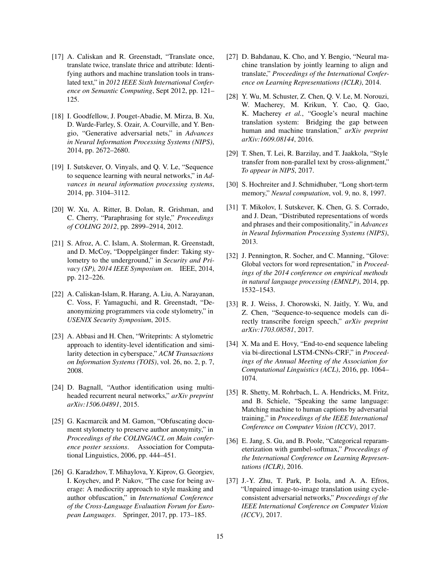- <span id="page-14-0"></span>[17] A. Caliskan and R. Greenstadt, "Translate once, translate twice, translate thrice and attribute: Identifying authors and machine translation tools in translated text," in *2012 IEEE Sixth International Conference on Semantic Computing*, Sept 2012, pp. 121– 125.
- <span id="page-14-1"></span>[18] I. Goodfellow, J. Pouget-Abadie, M. Mirza, B. Xu, D. Warde-Farley, S. Ozair, A. Courville, and Y. Bengio, "Generative adversarial nets," in *Advances in Neural Information Processing Systems (NIPS)*, 2014, pp. 2672–2680.
- <span id="page-14-2"></span>[19] I. Sutskever, O. Vinyals, and O. V. Le, "Sequence" to sequence learning with neural networks," in *Advances in neural information processing systems*, 2014, pp. 3104–3112.
- <span id="page-14-3"></span>[20] W. Xu, A. Ritter, B. Dolan, R. Grishman, and C. Cherry, "Paraphrasing for style," *Proceedings of COLING 2012*, pp. 2899–2914, 2012.
- <span id="page-14-4"></span>[21] S. Afroz, A. C. Islam, A. Stolerman, R. Greenstadt, and D. McCoy, "Doppelgänger finder: Taking stylometry to the underground," in *Security and Privacy (SP), 2014 IEEE Symposium on*. IEEE, 2014, pp. 212–226.
- <span id="page-14-5"></span>[22] A. Caliskan-Islam, R. Harang, A. Liu, A. Narayanan, C. Voss, F. Yamaguchi, and R. Greenstadt, "Deanonymizing programmers via code stylometry," in *USENIX Security Symposium*, 2015.
- <span id="page-14-6"></span>[23] A. Abbasi and H. Chen, "Writeprints: A stylometric approach to identity-level identification and similarity detection in cyberspace," *ACM Transactions on Information Systems (TOIS)*, vol. 26, no. 2, p. 7, 2008.
- <span id="page-14-7"></span>[24] D. Bagnall, "Author identification using multiheaded recurrent neural networks," *arXiv preprint arXiv:1506.04891*, 2015.
- <span id="page-14-8"></span>[25] G. Kacmarcik and M. Gamon, "Obfuscating document stylometry to preserve author anonymity," in *Proceedings of the COLING/ACL on Main conference poster sessions*. Association for Computational Linguistics, 2006, pp. 444–451.
- <span id="page-14-9"></span>[26] G. Karadzhov, T. Mihaylova, Y. Kiprov, G. Georgiev, I. Koychev, and P. Nakov, "The case for being average: A mediocrity approach to style masking and author obfuscation," in *International Conference of the Cross-Language Evaluation Forum for European Languages*. Springer, 2017, pp. 173–185.
- <span id="page-14-10"></span>[27] D. Bahdanau, K. Cho, and Y. Bengio, "Neural machine translation by jointly learning to align and translate," *Proceedings of the International Conference on Learning Representations (ICLR)*, 2014.
- <span id="page-14-11"></span>[28] Y. Wu, M. Schuster, Z. Chen, Q. V. Le, M. Norouzi, W. Macherey, M. Krikun, Y. Cao, Q. Gao, K. Macherey *et al.*, "Google's neural machine translation system: Bridging the gap between human and machine translation," *arXiv preprint arXiv:1609.08144*, 2016.
- <span id="page-14-12"></span>[29] T. Shen, T. Lei, R. Barzilay, and T. Jaakkola, "Style transfer from non-parallel text by cross-alignment," *To appear in NIPS*, 2017.
- <span id="page-14-13"></span>[30] S. Hochreiter and J. Schmidhuber, "Long short-term memory," *Neural computation*, vol. 9, no. 8, 1997.
- <span id="page-14-14"></span>[31] T. Mikolov, I. Sutskever, K. Chen, G. S. Corrado, and J. Dean, "Distributed representations of words and phrases and their compositionality," in *Advances in Neural Information Processing Systems (NIPS)*, 2013.
- <span id="page-14-15"></span>[32] J. Pennington, R. Socher, and C. Manning, "Glove: Global vectors for word representation," in *Proceedings of the 2014 conference on empirical methods in natural language processing (EMNLP)*, 2014, pp. 1532–1543.
- <span id="page-14-16"></span>[33] R. J. Weiss, J. Chorowski, N. Jaitly, Y. Wu, and Z. Chen, "Sequence-to-sequence models can directly transcribe foreign speech," *arXiv preprint arXiv:1703.08581*, 2017.
- <span id="page-14-17"></span>[34] X. Ma and E. Hovy, "End-to-end sequence labeling via bi-directional LSTM-CNNs-CRF," in *Proceedings of the Annual Meeting of the Association for Computational Linguistics (ACL)*, 2016, pp. 1064– 1074.
- <span id="page-14-18"></span>[35] R. Shetty, M. Rohrbach, L. A. Hendricks, M. Fritz, and B. Schiele, "Speaking the same language: Matching machine to human captions by adversarial training," in *Proceedings of the IEEE International Conference on Computer Vision (ICCV)*, 2017.
- <span id="page-14-19"></span>[36] E. Jang, S. Gu, and B. Poole, "Categorical reparameterization with gumbel-softmax," *Proceedings of the International Conference on Learning Representations (ICLR)*, 2016.
- <span id="page-14-20"></span>[37] J.-Y. Zhu, T. Park, P. Isola, and A. A. Efros, "Unpaired image-to-image translation using cycleconsistent adversarial networks," *Proceedings of the IEEE International Conference on Computer Vision (ICCV)*, 2017.